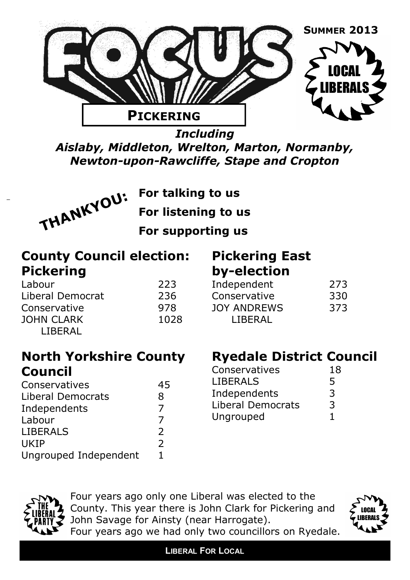

*Including Aislaby, Middleton, Wrelton, Marton, Normanby, Newton-upon-Rawcliffe, Stape and Cropton*



**For talking to us**

**For listening to us**

**For supporting us** 

**County Council election: Pickering**

Labour Liberal Democrat 236 Conservative **JOHN CLARK** LIBERAL

| 223 |     |      |  |
|-----|-----|------|--|
|     | 236 |      |  |
|     | 978 |      |  |
|     |     | 1028 |  |

## **Pickering East by-election**

| Independent        | 273 |
|--------------------|-----|
| Conservative       | 330 |
| <b>JOY ANDREWS</b> | 373 |
| LIBERAL            |     |
|                    |     |

### **North Yorkshire County Council**

| Conservatives            | 45            |
|--------------------------|---------------|
| <b>Liberal Democrats</b> | 8             |
| Independents             | 7             |
| Labour                   |               |
| <b>LIBERALS</b>          | $\mathcal{P}$ |
| <b>UKIP</b>              | $\mathcal{P}$ |
| Ungrouped Independent    | 1.            |

## **Ryedale District Council**

| Conservatives            | 18 |
|--------------------------|----|
| <b>LIBERALS</b>          | 5  |
| Independents             | 3  |
| <b>Liberal Democrats</b> | 3  |
| Ungrouped                | ı. |



Four years ago only one Liberal was elected to the County. This year there is John Clark for Pickering and John Savage for Ainsty (near Harrogate).



Four years ago we had only two councillors on Ryedale.

**LIBERAL FOR LOCAL**